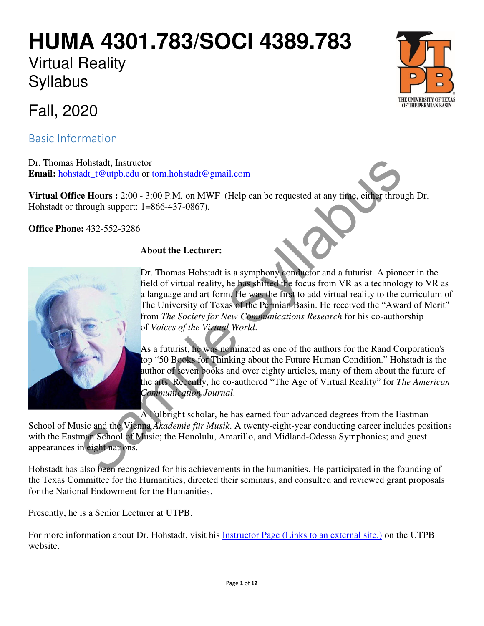# **HUMA 4301.783/SOCI 4389.783**

## Virtual Reality **Syllabus**



Basic Information

Dr. Thomas Hohstadt, Instructor **Email:** hohstadt t@utpb.edu or tom.hohstadt@gmail.com

**Virtual Office Hours :** 2:00 - 3:00 P.M. on MWF (Help can be requested at any time, either through Dr. Hohstadt or through support: 1=866-437-0867).

**Office Phone:** 432-552-3286

### **About the Lecturer:**



Dr. Thomas Hohstadt is a symphony conductor and a futurist. A pioneer in the field of virtual reality, he has shifted the focus from VR as a technology to VR as a language and art form. He was the first to add virtual reality to the curriculum of The University of Texas of the Permian Basin. He received the "Award of Merit" from *The Society for New Communications Research* for his co-authorship of *Voices of the Virtual World*. France Controllering Syllabuset Controllering Syllabuset Controllering Syllabuset Controllering Controllering Controllering Controllering Controllering Controllering Controllering Controllering Controllering Controllering

As a futurist, he was nominated as one of the authors for the Rand Corporation's top "50 Books for Thinking about the Future Human Condition." Hohstadt is the author of seven books and over eighty articles, many of them about the future of the arts. Recently, he co-authored "The Age of Virtual Reality" for *The American Communication Journal*.

A Fulbright scholar, he has earned four advanced degrees from the Eastman School of Music and the Vienna *Akademie für Musik*. A twenty-eight-year conducting career includes positions with the Eastman School of Music; the Honolulu, Amarillo, and Midland-Odessa Symphonies; and guest appearances in eight nations.

Hohstadt has also been recognized for his achievements in the humanities. He participated in the founding of the Texas Committee for the Humanities, directed their seminars, and consulted and reviewed grant proposals for the National Endowment for the Humanities.

Presently, he is a Senior Lecturer at UTPB.

For more information about Dr. Hohstadt, visit his Instructor Page (Links to an external site.) on the UTPB website.

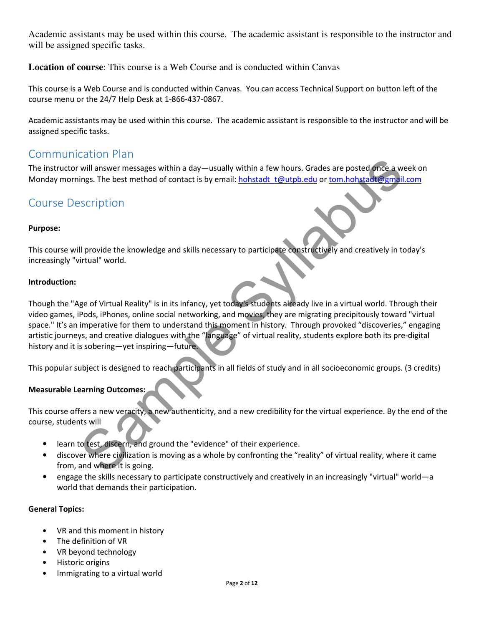Academic assistants may be used within this course. The academic assistant is responsible to the instructor and will be assigned specific tasks.

**Location of course**: This course is a Web Course and is conducted within Canvas

This course is a Web Course and is conducted within Canvas. You can access Technical Support on button left of the course menu or the 24/7 Help Desk at 1-866-437-0867.

Academic assistants may be used within this course. The academic assistant is responsible to the instructor and will be assigned specific tasks.

## Communication Plan

The instructor will answer messages within a day—usually within a few hours. Grades are posted once a week on Monday mornings. The best method of contact is by email: hohstadt t@utpb.edu or tom.hohstadt@gmail.com

## Course Description

#### Purpose:

This course will provide the knowledge and skills necessary to participate constructively and creatively in today's increasingly "virtual" world.

#### Introduction:

Though the "Age of Virtual Reality" is in its infancy, yet today's students already live in a virtual world. Through their video games, iPods, iPhones, online social networking, and movies, they are migrating precipitously toward "virtual space." It's an imperative for them to understand this moment in history. Through provoked "discoveries," engaging artistic journeys, and creative dialogues with the "language" of virtual reality, students explore both its pre-digital history and it is sobering—yet inspiring—future. will answer messages within a day-usually within a few hours. Grades are posted once a w<br>injes. The best method of contact is by email: <u>hohstadt t@utpb.edu</u> or tom hohstadt@gmail<br>escription<br>escription<br>secription<br>all provi

This popular subject is designed to reach participants in all fields of study and in all socioeconomic groups. (3 credits)

#### Measurable Learning Outcomes:

This course offers a new veracity, a new authenticity, and a new credibility for the virtual experience. By the end of the course, students will

- learn to test, discern, and ground the "evidence" of their experience.
- discover where civilization is moving as a whole by confronting the "reality" of virtual reality, where it came from, and where it is going.
- engage the skills necessary to participate constructively and creatively in an increasingly "virtual" world—a world that demands their participation.

#### General Topics:

- VR and this moment in history
- The definition of VR
- VR beyond technology
- Historic origins
- Immigrating to a virtual world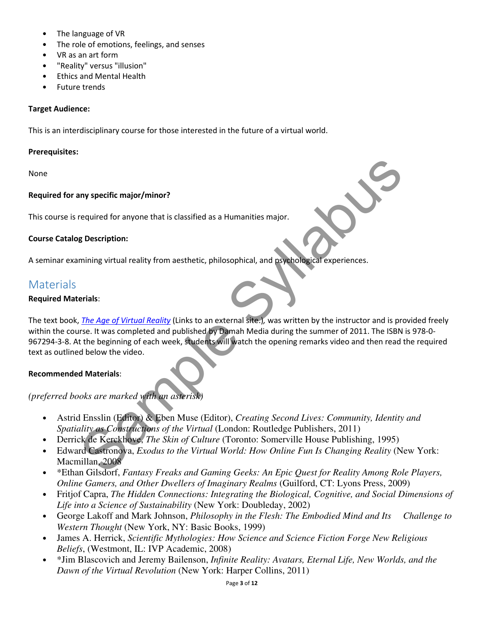- The language of VR
- The role of emotions, feelings, and senses
- VR as an art form
- "Reality" versus "illusion"
- Ethics and Mental Health
- Future trends

#### Target Audience:

This is an interdisciplinary course for those interested in the future of a virtual world.

#### Prerequisites:

None

#### Required for any specific major/minor?

This course is required for anyone that is classified as a Humanities major.

#### Course Catalog Description:

A seminar examining virtual reality from aesthetic, philosophical, and psychological experiences.

#### **Materials**

#### Required Materials:

The text book, The Age of Virtual Reality (Links to an external site.), was written by the instructor and is provided freely within the course. It was completed and published by Damah Media during the summer of 2011. The ISBN is 978-0- 967294-3-8. At the beginning of each week, students will watch the opening remarks video and then read the required text as outlined below the video. Moreoviet and Consider the Virtual Condomic Section Cluster and Considered Syllabuse Cluster and Considered Syllabuse Cluster and the Cluster and the Cluster and is presented and published by Damah Media during the summer

#### Recommended Materials:

*(preferred books are marked with an asterisk)*

- Astrid Ensslin (Editor) & Eben Muse (Editor), *Creating Second Lives: Community, Identity and Spatiality as Constructions of the Virtual* (London: Routledge Publishers, 2011)
- Derrick de Kerckhove, *The Skin of Culture* (Toronto: Somerville House Publishing, 1995)
- Edward Castronova, *Exodus to the Virtual World: How Online Fun Is Changing Reality* (New York: Macmillan, 2008
- \*Ethan Gilsdorf, *Fantasy Freaks and Gaming Geeks: An Epic Quest for Reality Among Role Players, Online Gamers, and Other Dwellers of Imaginary Realms* (Guilford, CT: Lyons Press, 2009)
- Fritjof Capra, *The Hidden Connections: Integrating the Biological, Cognitive, and Social Dimensions of Life into a Science of Sustainability* (New York: Doubleday, 2002)
- George Lakoff and Mark Johnson, *Philosophy in the Flesh: The Embodied Mind and Its Challenge to Western Thought* (New York, NY: Basic Books, 1999)
- James A. Herrick, *Scientific Mythologies: How Science and Science Fiction Forge New Religious Beliefs*, (Westmont, IL: IVP Academic, 2008)
- \*Jim Blascovich and Jeremy Bailenson, *Infinite Reality: Avatars, Eternal Life, New Worlds, and the Dawn of the Virtual Revolution* (New York: Harper Collins, 2011)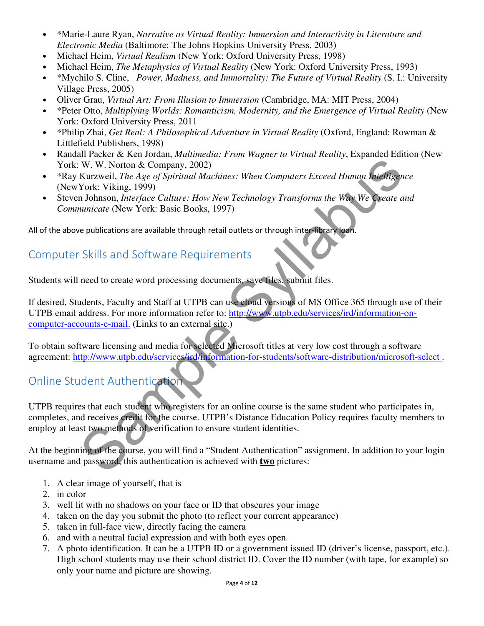- \*Marie-Laure Ryan, *Narrative as Virtual Reality: Immersion and Interactivity in Literature and Electronic Media* (Baltimore: The Johns Hopkins University Press, 2003)
- Michael Heim, *Virtual Realism* (New York: Oxford University Press, 1998)
- Michael Heim, *The Metaphysics of Virtual Reality* (New York: Oxford University Press, 1993)
- \*Mychilo S. Cline, *Power, Madness, and Immortality: The Future of Virtual Reality* (S. I.: University Village Press, 2005)
- Oliver Grau, *Virtual Art: From Illusion to Immersion* (Cambridge, MA: MIT Press, 2004)
- \*Peter Otto, *Multiplying Worlds: Romanticism, Modernity, and the Emergence of Virtual Reality* (New York: Oxford University Press, 2011
- \*Philip Zhai, *Get Real: A Philosophical Adventure in Virtual Reality* (Oxford, England: Rowman & Littlefield Publishers, 1998)
- Randall Packer & Ken Jordan, *Multimedia: From Wagner to Virtual Reality*, Expanded Edition (New York: W. W. Norton & Company, 2002)
- \*Ray Kurzweil, *The Age of Spiritual Machines: When Computers Exceed Human Intelligence* (NewYork: Viking, 1999)
- Steven Johnson, *Interface Culture: How New Technology Transforms the Way We Create and Communicate* (New York: Basic Books, 1997)

All of the above publications are available through retail outlets or through inter-library loan.

## Computer Skills and Software Requirements

Students will need to create word processing documents, save files, submit files.

If desired, Students, Faculty and Staff at UTPB can use cloud versions of MS Office 365 through use of their UTPB email address. For more information refer to: http://www.utpb.edu/services/ird/information-oncomputer-accounts-e-mail. (Links to an external site.) W. W. Norton & Company, 2002)<br>
Kurzweil, The Age of Spiritual Machines: When Computers Exceed Human **Intelligen**<br>
York: Viking, 1999)<br>
York: Viking, 1999)<br>
York: Viking, 1999)<br>
York: Viking, 1999)<br>
York: Viking, 1999)<br>
Yo

To obtain software licensing and media for selected Microsoft titles at very low cost through a software agreement: http://www.utpb.edu/services/ird/information-for-students/software-distribution/microsoft-select .

## Online Student Authentication

UTPB requires that each student who registers for an online course is the same student who participates in, completes, and receives credit for the course. UTPB's Distance Education Policy requires faculty members to employ at least two methods of verification to ensure student identities.

At the beginning of the course, you will find a "Student Authentication" assignment. In addition to your login username and password, this authentication is achieved with **two** pictures:

- 1. A clear image of yourself, that is
- 2. in color
- 3. well lit with no shadows on your face or ID that obscures your image
- 4. taken on the day you submit the photo (to reflect your current appearance)
- 5. taken in full-face view, directly facing the camera
- 6. and with a neutral facial expression and with both eyes open.
- 7. A photo identification. It can be a UTPB ID or a government issued ID (driver's license, passport, etc.). High school students may use their school district ID. Cover the ID number (with tape, for example) so only your name and picture are showing.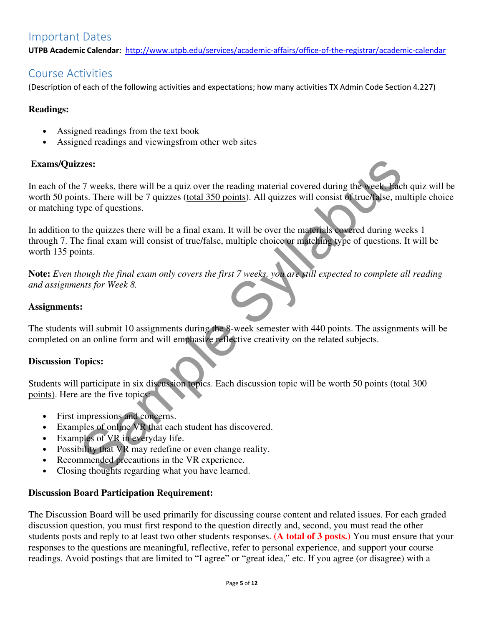## Important Dates

UTPB Academic Calendar: http://www.utpb.edu/services/academic-affairs/office-of-the-registrar/academic-calendar

## Course Activities

(Description of each of the following activities and expectations; how many activities TX Admin Code Section 4.227)

#### **Readings:**

- Assigned readings from the text book
- Assigned readings and viewingsfrom other web sites

#### **Exams/Quizzes:**

In each of the 7 weeks, there will be a quiz over the reading material covered during the week. Each quiz will be worth 50 points. There will be 7 quizzes (total 350 points). All quizzes will consist of true/false, multiple choice or matching type of questions. **Example Syllence Syllabuse Syllabuse Syllabuse Syllabuse Syllabuse Syllabuse Syllabuse Syllabuse Syllabuse Syllabuse Syllabuse Syllabuse Syllabuse Syllabuse Syllabuse Syllabuse Syllabuse Syllabuse Syllabuse Syllabuse Syl** 

In addition to the quizzes there will be a final exam. It will be over the materials covered during weeks 1 through 7. The final exam will consist of true/false, multiple choice or matching type of questions. It will be worth 135 points.

**Note:** *Even though the final exam only covers the first 7 weeks, you are still expected to complete all reading and assignments for Week 8.*

#### **Assignments:**

The students will submit 10 assignments during the 8-week semester with 440 points. The assignments will be completed on an online form and will emphasize reflective creativity on the related subjects.

#### **Discussion Topics:**

Students will participate in six discussion topics. Each discussion topic will be worth 50 points (total 300 points). Here are the five topics:

- First impressions and concerns.
- Examples of online VR that each student has discovered.
- Examples of VR in everyday life.
- Possibility that VR may redefine or even change reality.
- Recommended precautions in the VR experience.
- Closing thoughts regarding what you have learned.

#### **Discussion Board Participation Requirement:**

The Discussion Board will be used primarily for discussing course content and related issues. For each graded discussion question, you must first respond to the question directly and, second, you must read the other students posts and reply to at least two other students responses. **(A total of 3 posts.)** You must ensure that your responses to the questions are meaningful, reflective, refer to personal experience, and support your course readings. Avoid postings that are limited to "I agree" or "great idea," etc. If you agree (or disagree) with a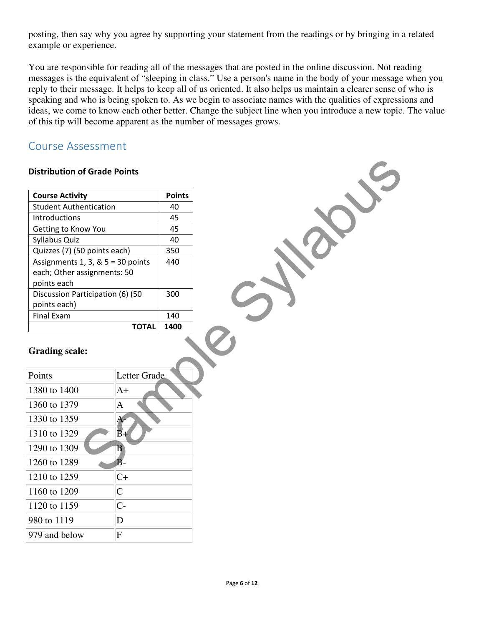posting, then say why you agree by supporting your statement from the readings or by bringing in a related example or experience.

You are responsible for reading all of the messages that are posted in the online discussion. Not reading messages is the equivalent of "sleeping in class." Use a person's name in the body of your message when you reply to their message. It helps to keep all of us oriented. It also helps us maintain a clearer sense of who is speaking and who is being spoken to. As we begin to associate names with the qualities of expressions and ideas, we come to know each other better. Change the subject line when you introduce a new topic. The value of this tip will become apparent as the number of messages grows.

## Course Assessment

#### Distribution of Grade Points

| <b>Distribution of Grade Points</b>                                                |                         |               |
|------------------------------------------------------------------------------------|-------------------------|---------------|
| <b>Course Activity</b>                                                             |                         | <b>Points</b> |
| <b>Student Authentication</b>                                                      |                         | 40            |
| Introductions                                                                      |                         | 45            |
| Getting to Know You                                                                |                         | 45            |
| Syllabus Quiz                                                                      |                         | 40            |
| Quizzes (7) (50 points each)                                                       |                         | 350           |
| Assignments $1, 3, 8, 5 = 30$ points<br>each; Other assignments: 50<br>points each |                         | 440           |
| Discussion Participation (6) (50<br>points each)                                   |                         | 300           |
| Final Exam                                                                         |                         | 140           |
|                                                                                    | <b>TOTAL</b>            | 1400          |
| <b>Grading scale:</b>                                                              |                         |               |
| Points                                                                             | Letter Grade            |               |
| 1380 to 1400                                                                       | $A+$                    |               |
| 1360 to 1379                                                                       | $\mathbf{A}$            |               |
| 1330 to 1359                                                                       | A-                      |               |
| 1310 to 1329                                                                       | $\overline{B}+$         |               |
| 1290 to 1309                                                                       | $\overline{\mathbf{B}}$ |               |
| 1260 to 1289                                                                       | $\overline{B}$ -        |               |
|                                                                                    |                         |               |

| Points        | Letter Grade   |
|---------------|----------------|
| 1380 to 1400  | $A+$           |
| 1360 to 1379  | Α              |
| 1330 to 1359  | A              |
| 1310 to 1329  | B+             |
| 1290 to 1309  | B              |
| 1260 to 1289  | R-             |
| 1210 to 1259  | $C+$           |
| 1160 to 1209  | $\overline{C}$ |
| 1120 to 1159  | $C-$           |
| 980 to 1119   | D              |
| 979 and below | F              |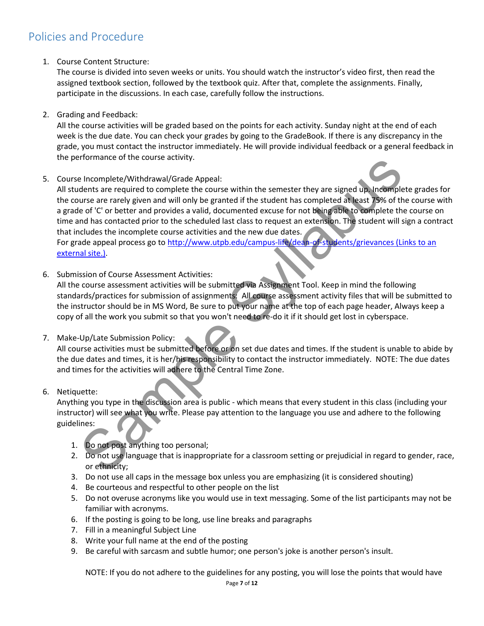## Policies and Procedure

1. Course Content Structure:

The course is divided into seven weeks or units. You should watch the instructor's video first, then read the assigned textbook section, followed by the textbook quiz. After that, complete the assignments. Finally, participate in the discussions. In each case, carefully follow the instructions.

2. Grading and Feedback:

All the course activities will be graded based on the points for each activity. Sunday night at the end of each week is the due date. You can check your grades by going to the GradeBook. If there is any discrepancy in the grade, you must contact the instructor immediately. He will provide individual feedback or a general feedback in the performance of the course activity.

5. Course Incomplete/Withdrawal/Grade Appeal:

All students are required to complete the course within the semester they are signed up. Incomplete grades for the course are rarely given and will only be granted if the student has completed at least 75% of the course with a grade of 'C' or better and provides a valid, documented excuse for not being able to complete the course on time and has contacted prior to the scheduled last class to request an extension. The student will sign a contract that includes the incomplete course activities and the new due dates. For grade appeal process go to http://www.utpb.edu/campus-life/dean-of-students/grievances (Links to an external site.). enominate or the totals activity.<br>
Incomplete Withdrawal/Grade Appeal:<br>
Incomplete the required to complete the course within the semester they are signed up incomplete<br>
Lerge of C'or othere and provides avalid, documented

6. Submission of Course Assessment Activities:

All the course assessment activities will be submitted via Assignment Tool. Keep in mind the following standards/practices for submission of assignments: All course assessment activity files that will be submitted to the instructor should be in MS Word, Be sure to put your name at the top of each page header, Always keep a copy of all the work you submit so that you won't need to re-do it if it should get lost in cyberspace.

#### 7. Make-Up/Late Submission Policy:

All course activities must be submitted before or on set due dates and times. If the student is unable to abide by the due dates and times, it is her/his responsibility to contact the instructor immediately. NOTE: The due dates and times for the activities will adhere to the Central Time Zone.

#### 6. Netiquette:

Anything you type in the discussion area is public - which means that every student in this class (including your instructor) will see what you write. Please pay attention to the language you use and adhere to the following guidelines:

- 1. Do not post anything too personal;
- 2. Do not use language that is inappropriate for a classroom setting or prejudicial in regard to gender, race, or ethnicity;
- 3. Do not use all caps in the message box unless you are emphasizing (it is considered shouting)
- 4. Be courteous and respectful to other people on the list
- 5. Do not overuse acronyms like you would use in text messaging. Some of the list participants may not be familiar with acronyms.
- 6. If the posting is going to be long, use line breaks and paragraphs
- 7. Fill in a meaningful Subject Line
- 8. Write your full name at the end of the posting
- 9. Be careful with sarcasm and subtle humor; one person's joke is another person's insult.

NOTE: If you do not adhere to the guidelines for any posting, you will lose the points that would have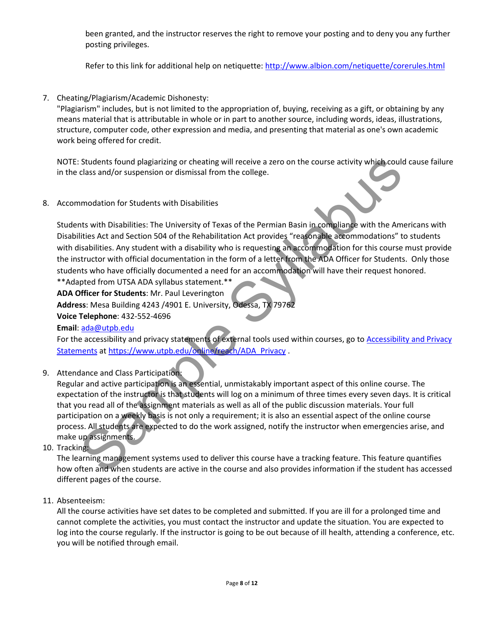been granted, and the instructor reserves the right to remove your posting and to deny you any further posting privileges.

Refer to this link for additional help on netiquette: http://www.albion.com/netiquette/corerules.html

7. Cheating/Plagiarism/Academic Dishonesty:

"Plagiarism" includes, but is not limited to the appropriation of, buying, receiving as a gift, or obtaining by any means material that is attributable in whole or in part to another source, including words, ideas, illustrations, structure, computer code, other expression and media, and presenting that material as one's own academic work being offered for credit.

NOTE: Students found plagiarizing or cheating will receive a zero on the course activity which could cause failure in the class and/or suspension or dismissal from the college.

8. Accommodation for Students with Disabilities

Students with Disabilities: The University of Texas of the Permian Basin in compliance with the Americans with Disabilities Act and Section 504 of the Rehabilitation Act provides "reasonable accommodations" to students with disabilities. Any student with a disability who is requesting an accommodation for this course must provide the instructor with official documentation in the form of a letter from the ADA Officer for Students. Only those students who have officially documented a need for an accommodation will have their request honored.

\*\*Adapted from UTSA ADA syllabus statement.\*\*

ADA Officer for Students: Mr. Paul Leverington

Address: Mesa Building 4243 /4901 E. University, Odessa, TX 79762

Voice Telephone: 432-552-4696

#### Email: ada@utpb.edu

For the accessibility and privacy statements of external tools used within courses, go to Accessibility and Privacy Statements at https://www.utpb.edu/online/reach/ADA\_Privacy .

9. Attendance and Class Participation:

Regular and active participation is an essential, unmistakably important aspect of this online course. The expectation of the instructor is that students will log on a minimum of three times every seven days. It is critical that you read all of the assignment materials as well as all of the public discussion materials. Your full participation on a weekly basis is not only a requirement; it is also an essential aspect of the online course process. All students are expected to do the work assigned, notify the instructor when emergencies arise, and make up assignments. Students found plaglarizing or cheating will receive a zero on the course activity which could<br>alss and/or suspension or dismissal from the college.<br>
Imodation for Students with Disabilities<br>
Inst with Disabilities: The Un

10. Tracking:

The learning management systems used to deliver this course have a tracking feature. This feature quantifies how often and when students are active in the course and also provides information if the student has accessed different pages of the course.

11. Absenteeism:

All the course activities have set dates to be completed and submitted. If you are ill for a prolonged time and cannot complete the activities, you must contact the instructor and update the situation. You are expected to log into the course regularly. If the instructor is going to be out because of ill health, attending a conference, etc. you will be notified through email.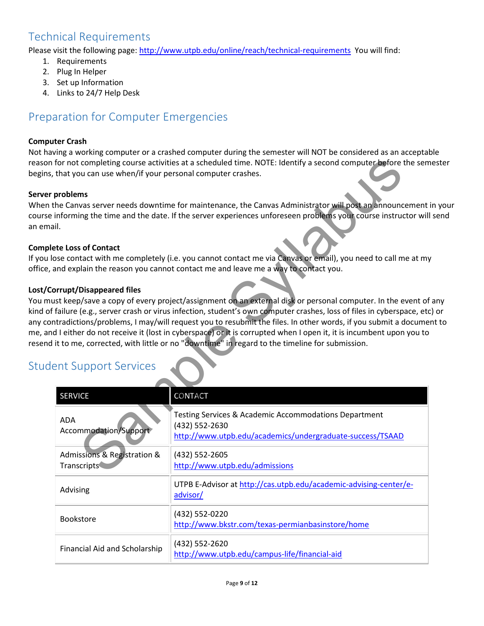## Technical Requirements

Please visit the following page: http://www.utpb.edu/online/reach/technical-requirements You will find:

- 1. Requirements
- 2. Plug In Helper
- 3. Set up Information
- 4. Links to 24/7 Help Desk

## Preparation for Computer Emergencies

#### Computer Crash

Not having a working computer or a crashed computer during the semester will NOT be considered as an acceptable reason for not completing course activities at a scheduled time. NOTE: Identify a second computer before the semester begins, that you can use when/if your personal computer crashes.

#### Server problems

When the Canvas server needs downtime for maintenance, the Canvas Administrator will post an announcement in your course informing the time and the date. If the server experiences unforeseen problems your course instructor will send an email.

#### Complete Loss of Contact

If you lose contact with me completely (i.e. you cannot contact me via Canvas or email), you need to call me at my office, and explain the reason you cannot contact me and leave me a way to contact you.

#### Lost/Corrupt/Disappeared files

You must keep/save a copy of every project/assignment on an external disk or personal computer. In the event of any kind of failure (e.g., server crash or virus infection, student's own computer crashes, loss of files in cyberspace, etc) or any contradictions/problems, I may/will request you to resubmit the files. In other words, if you submit a document to me, and I either do not receive it (lost in cyberspace) or it is corrupted when I open it, it is incumbent upon you to resend it to me, corrected, with little or no "downtime" in regard to the timeline for submission.

## Student Support Services

| that you can use when/if your personal computer crashes. | or not completing course activities at a scheduled time. NOTE: Identify a second computer before the sen                                                                                                                                                                                                                                                                                                                                                                                                                                                   |
|----------------------------------------------------------|------------------------------------------------------------------------------------------------------------------------------------------------------------------------------------------------------------------------------------------------------------------------------------------------------------------------------------------------------------------------------------------------------------------------------------------------------------------------------------------------------------------------------------------------------------|
| <b>problems</b>                                          |                                                                                                                                                                                                                                                                                                                                                                                                                                                                                                                                                            |
| I.                                                       | ne Canvas server needs downtime for maintenance, the Canvas Administrator will post an announcement<br>nforming the time and the date. If the server experiences unforeseen problems your course instructor wil                                                                                                                                                                                                                                                                                                                                            |
| te Loss of Contact                                       |                                                                                                                                                                                                                                                                                                                                                                                                                                                                                                                                                            |
|                                                          | se contact with me completely (i.e. you cannot contact me via Canvas or email), you need to call me at m<br>nd explain the reason you cannot contact me and leave me a way to contact you.                                                                                                                                                                                                                                                                                                                                                                 |
| rrupt/Disappeared files                                  | st keep/save a copy of every project/assignment on an external disk or personal computer. In the event of<br>failure (e.g., server crash or virus infection, student's own computer crashes, loss of files in cyberspace, et<br>tradictions/problems, I may/will request you to resubmit the files. In other words, if you submit a docume<br>I either do not receive it (lost in cyberspace) or it is corrupted when I open it, it is incumbent upon you to<br>t to me, corrected, with little or no "downtime" in regard to the timeline for submission. |
| nt Support Services                                      |                                                                                                                                                                                                                                                                                                                                                                                                                                                                                                                                                            |
| <b>SERVICE</b>                                           | CONTACT                                                                                                                                                                                                                                                                                                                                                                                                                                                                                                                                                    |
| <b>ADA</b><br>Accommodation/Support                      | Testing Services & Academic Accommodations Department<br>(432) 552-2630<br>http://www.utpb.edu/academics/undergraduate-success/TSAAD                                                                                                                                                                                                                                                                                                                                                                                                                       |
| Admissions & Registration &<br>Transcripts               | (432) 552-2605<br>http://www.utpb.edu/admissions                                                                                                                                                                                                                                                                                                                                                                                                                                                                                                           |
| Advising                                                 | UTPB E-Advisor at http://cas.utpb.edu/academic-advising-center/e-<br>advisor/                                                                                                                                                                                                                                                                                                                                                                                                                                                                              |
| Bookstore                                                | (432) 552-0220<br>http://www.bkstr.com/texas-permianbasinstore/home                                                                                                                                                                                                                                                                                                                                                                                                                                                                                        |
| Financial Aid and Scholarship                            | (432) 552-2620<br>http://www.utpb.edu/campus-life/financial-aid                                                                                                                                                                                                                                                                                                                                                                                                                                                                                            |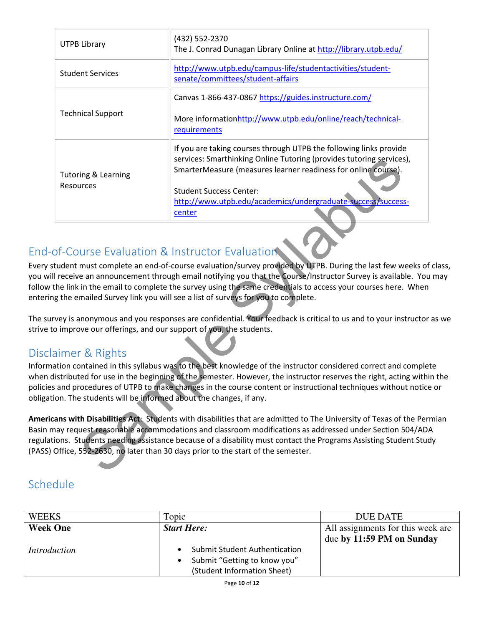| <b>UTPB Library</b>                                                                                                                                                                                                                                                                                                                                                                                               | (432) 552-2370<br>The J. Conrad Dunagan Library Online at http://library.utpb.edu/                                                                                                                                                                                                                                                                                                                               |  |
|-------------------------------------------------------------------------------------------------------------------------------------------------------------------------------------------------------------------------------------------------------------------------------------------------------------------------------------------------------------------------------------------------------------------|------------------------------------------------------------------------------------------------------------------------------------------------------------------------------------------------------------------------------------------------------------------------------------------------------------------------------------------------------------------------------------------------------------------|--|
| <b>Student Services</b>                                                                                                                                                                                                                                                                                                                                                                                           | http://www.utpb.edu/campus-life/studentactivities/student-<br>senate/committees/student-affairs                                                                                                                                                                                                                                                                                                                  |  |
|                                                                                                                                                                                                                                                                                                                                                                                                                   | Canvas 1-866-437-0867 https://guides.instructure.com/                                                                                                                                                                                                                                                                                                                                                            |  |
| <b>Technical Support</b>                                                                                                                                                                                                                                                                                                                                                                                          | More informationhttp://www.utpb.edu/online/reach/technical-<br>requirements                                                                                                                                                                                                                                                                                                                                      |  |
| <b>Tutoring &amp; Learning</b><br>Resources                                                                                                                                                                                                                                                                                                                                                                       | If you are taking courses through UTPB the following links provide<br>services: Smarthinking Online Tutoring (provides tutoring services),<br>SmarterMeasure (measures learner readiness for online course).                                                                                                                                                                                                     |  |
|                                                                                                                                                                                                                                                                                                                                                                                                                   | <b>Student Success Center:</b><br>http://www.utpb.edu/academics/undergraduate-success/success-<br>center                                                                                                                                                                                                                                                                                                         |  |
| of-Course Evaluation & Instructor Evaluation                                                                                                                                                                                                                                                                                                                                                                      | tudent must complete an end-of-course evaluation/survey provided by UTPB. During the last few weeks of<br>I receive an announcement through email notifying you that the Course/Instructor Survey is available. You<br>he link in the email to complete the survey using the same credentials to access your courses here. When<br>g the emailed Survey link you will see a list of surveys for you to complete. |  |
| o improve our offerings, and our support of you, the students.                                                                                                                                                                                                                                                                                                                                                    | vey is anonymous and you responses are confidential. Your feedback is critical to us and to your instructor                                                                                                                                                                                                                                                                                                      |  |
| aimer & Rights<br>on. The students will be informed about the changes, if any.                                                                                                                                                                                                                                                                                                                                    | ation contained in this syllabus was to the best knowledge of the instructor considered correct and comple<br>istributed for use in the beginning of the semester. However, the instructor reserves the right, acting withi<br>and procedures of UTPB to make changes in the course content or instructional techniques without notice                                                                           |  |
| ans with Disabilities Act: Students with disabilities that are admitted to The University of Texas of the Per<br>ay request reasonable accommodations and classroom modifications as addressed under Section 504/AD.<br>ions. Students needing assistance because of a disability must contact the Programs Assisting Student Stud<br>Office, 552-2630, no later than 30 days prior to the start of the semester. |                                                                                                                                                                                                                                                                                                                                                                                                                  |  |

## End-of-Course Evaluation & Instructor Evaluation

Every student must complete an end-of-course evaluation/survey provided by UTPB. During the last few weeks of class, you will receive an announcement through email notifying you that the Course/Instructor Survey is available. You may follow the link in the email to complete the survey using the same credentials to access your courses here. When entering the emailed Survey link you will see a list of surveys for you to complete.

The survey is anonymous and you responses are confidential. Your feedback is critical to us and to your instructor as we strive to improve our offerings, and our support of you, the students.

## Disclaimer & Rights

Information contained in this syllabus was to the best knowledge of the instructor considered correct and complete when distributed for use in the beginning of the semester. However, the instructor reserves the right, acting within the policies and procedures of UTPB to make changes in the course content or instructional techniques without notice or obligation. The students will be informed about the changes, if any.

Americans with Disabilities Act: Students with disabilities that are admitted to The University of Texas of the Permian Basin may request reasonable accommodations and classroom modifications as addressed under Section 504/ADA regulations. Students needing assistance because of a disability must contact the Programs Assisting Student Study (PASS) Office, 552-2630, no later than 30 days prior to the start of the semester.

## Schedule

| <b>WEEKS</b>        | Topic                                | DUE DATE                          |
|---------------------|--------------------------------------|-----------------------------------|
| <b>Week One</b>     | <b>Start Here:</b>                   | All assignments for this week are |
|                     |                                      | due by 11:59 PM on Sunday         |
| <i>Introduction</i> | <b>Submit Student Authentication</b> |                                   |
|                     | Submit "Getting to know you"         |                                   |
|                     | (Student Information Sheet)          |                                   |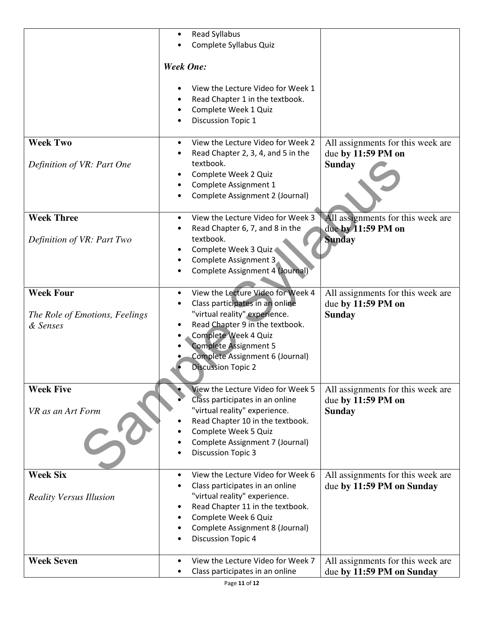|                                                                | <b>Read Syllabus</b><br>$\bullet$<br>Complete Syllabus Quiz                                                                                                                                                                                                                   |                                                                          |
|----------------------------------------------------------------|-------------------------------------------------------------------------------------------------------------------------------------------------------------------------------------------------------------------------------------------------------------------------------|--------------------------------------------------------------------------|
|                                                                | <b>Week One:</b>                                                                                                                                                                                                                                                              |                                                                          |
|                                                                | View the Lecture Video for Week 1<br>Read Chapter 1 in the textbook.<br>Complete Week 1 Quiz<br>Discussion Topic 1                                                                                                                                                            |                                                                          |
| <b>Week Two</b><br>Definition of VR: Part One                  | View the Lecture Video for Week 2<br>$\bullet$<br>Read Chapter 2, 3, 4, and 5 in the<br>textbook.<br>Complete Week 2 Quiz<br>Complete Assignment 1<br>Complete Assignment 2 (Journal)                                                                                         | All assignments for this week are<br>due by 11:59 PM on<br><b>Sunday</b> |
| <b>Week Three</b><br>Definition of VR: Part Two                | View the Lecture Video for Week 3<br>$\bullet$<br>Read Chapter 6, 7, and 8 in the<br>textbook.<br>Complete Week 3 Quiz<br>Complete Assignment 3<br>Complete Assignment 4 (Journal)                                                                                            | All assignments for this week are<br>due by 11:59 PM on<br><b>Sunday</b> |
| <b>Week Four</b><br>The Role of Emotions, Feelings<br>& Senses | View the Lecture Video for Week 4<br>$\bullet$<br>Class participates in an online<br>"virtual reality" experience.<br>Read Chapter 9 in the textbook.<br>Complete Week 4 Quiz<br><b>Complete Assignment 5</b><br>Complete Assignment 6 (Journal)<br><b>Discussion Topic 2</b> | All assignments for this week are<br>due by 11:59 PM on<br><b>Sunday</b> |
| <b>Week Five</b><br>VR as an Art Form                          | View the Lecture Video for Week 5<br>Class participates in an online<br>"virtual reality" experience.<br>Read Chapter 10 in the textbook.<br>Complete Week 5 Quiz<br>Complete Assignment 7 (Journal)<br><b>Discussion Topic 3</b>                                             | All assignments for this week are<br>due by 11:59 PM on<br><b>Sunday</b> |
| <b>Week Six</b><br><b>Reality Versus Illusion</b>              | View the Lecture Video for Week 6<br>$\bullet$<br>Class participates in an online<br>"virtual reality" experience.<br>Read Chapter 11 in the textbook.<br>Complete Week 6 Quiz<br>Complete Assignment 8 (Journal)<br><b>Discussion Topic 4</b><br>٠                           | All assignments for this week are<br>due by 11:59 PM on Sunday           |
| <b>Week Seven</b>                                              | View the Lecture Video for Week 7<br>$\bullet$<br>Class participates in an online                                                                                                                                                                                             | All assignments for this week are<br>due by 11:59 PM on Sunday           |